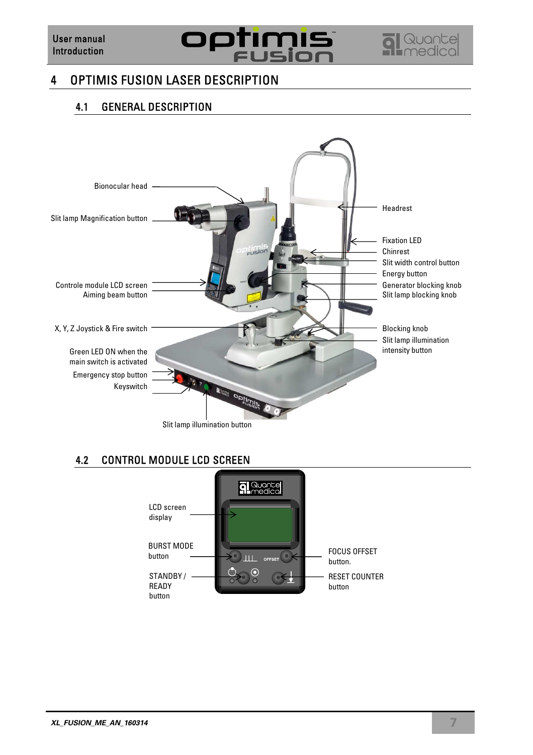

## 4 OPTIMIS FUSION LASER DESCRIPTION

#### 4.1 GENERAL DESCRIPTION



#### 4.2 CONTROL MODULE LCD SCREEN

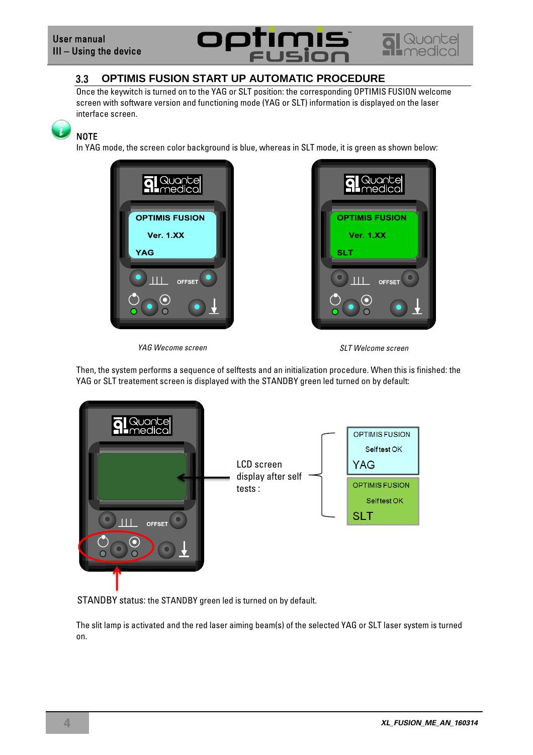# Fl

![](_page_1_Picture_2.jpeg)

#### 3.3 **OPTIMIS FUSION START UP AUTOMATIC PROCEDURE**

Once the keywitch is turned on to the YAG or SLT position: the corresponding OPTIMIS FUSION welcome screen with software version and functioning mode (YAG or SLT) information is displayed on the laser interface screen.

**NOTE** 

In YAG mode, the screen color background is blue, whereas in SLT mode, it is green as shown below:

![](_page_1_Picture_7.jpeg)

![](_page_1_Picture_8.jpeg)

![](_page_1_Figure_10.jpeg)

Then, the system performs a sequence of selftests and an initialization procedure. When this is finished: the YAG or SLT treatement screen is displayed with the STANDBY green led turned on by default:

![](_page_1_Figure_12.jpeg)

STANDBY status: the STANDBY green led is turned on by default.

The slit lamp is activated and the red laser aiming beam(s) of the selected YAG or SLT laser system is turned on.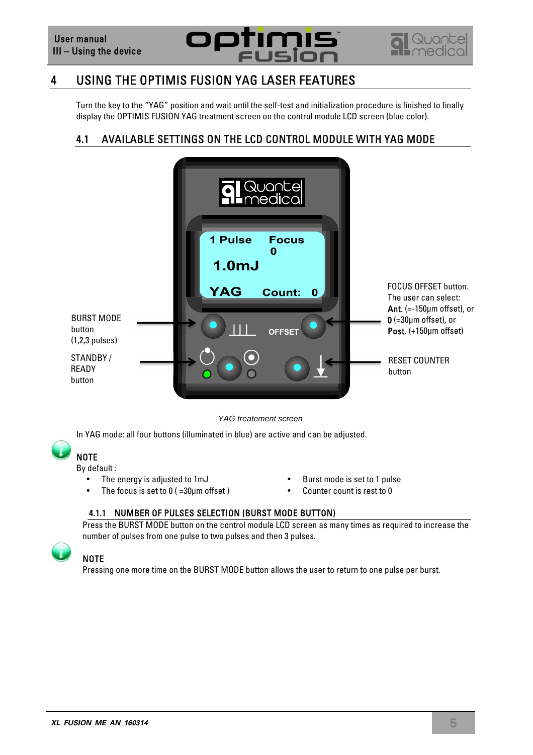![](_page_2_Picture_1.jpeg)

![](_page_2_Picture_2.jpeg)

### 4 USING THE OPTIMIS FUSION YAG LASER FEATURES

Turn the key to the "YAG" position and wait until the self-test and initialization procedure is finished to finally display the OPTIMIS FUSION YAG treatment screen on the control module LCD screen (blue color).

#### 4.1 AVAILABLE SETTINGS ON THE LCD CONTROL MODULE WITH YAG MODE

![](_page_2_Picture_6.jpeg)

YAG treatement screen

In YAG mode: all four buttons (illuminated in blue) are active and can be adjusted.

## **NOTE**

By default :

- 
- The focus is set to 0 (=30µm offset) Counter count is rest to 0
- The energy is adjusted to 1mJ **•** Burst mode is set to 1 pulse
	-

#### 4.1.1 NUMBER OF PULSES SELECTION (BURST MODE BUTTON)

Press the BURST MODE button on the control module LCD screen as many times as required to increase the number of pulses from one pulse to two pulses and then 3 pulses.

## **NOTE**

Pressing one more time on the BURST MODE button allows the user to return to one pulse per burst.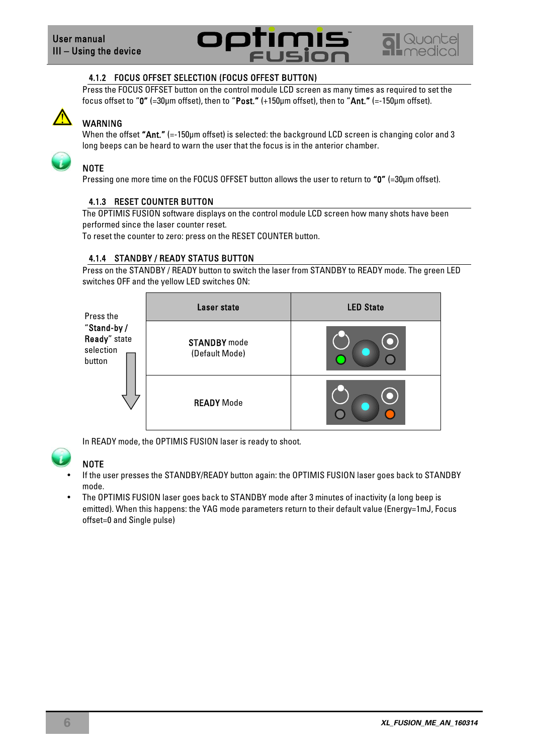![](_page_3_Picture_1.jpeg)

![](_page_3_Picture_2.jpeg)

#### 4.1.2 FOCUS OFFSET SELECTION (FOCUS OFFEST BUTTON)

Press the FOCUS OFFSET button on the control module LCD screen as many times as required to set the focus offset to "0" (=30µm offset), then to "Post." (+150µm offset), then to "Ant." (=-150µm offset).

![](_page_3_Picture_5.jpeg)

#### WARNING

When the offset "Ant." (=-150µm offset) is selected: the background LCD screen is changing color and 3 long beeps can be heard to warn the user that the focus is in the anterior chamber.

## **NOTE**

Pressing one more time on the FOCUS OFFSET button allows the user to return to "0" (=30µm offset).

#### 4.1.3 RESET COUNTER BUTTON

The OPTIMIS FUSION software displays on the control module LCD screen how many shots have been performed since the laser counter reset.

To reset the counter to zero: press on the RESET COUNTER button.

#### 4.1.4 STANDBY / READY STATUS BUTTON

Press on the STANDBY / READY button to switch the laser from STANDBY to READY mode. The green LED switches OFF and the yellow LED switches ON:

| Press the                                          | Laser state                           | <b>LED State</b> |
|----------------------------------------------------|---------------------------------------|------------------|
| "Stand-by /<br>Ready" state<br>selection<br>button | <b>STANDBY</b> mode<br>(Default Mode) |                  |
|                                                    | <b>READY Mode</b>                     |                  |

In READY mode, the OPTIMIS FUSION laser is ready to shoot.

|    | ÷ |  |
|----|---|--|
| v. |   |  |

#### NOTE

- If the user presses the STANDBY/READY button again: the OPTIMIS FUSION laser goes back to STANDBY mode.
- The OPTIMIS FUSION laser goes back to STANDBY mode after 3 minutes of inactivity (a long beep is emitted). When this happens: the YAG mode parameters return to their default value (Energy=1mJ, Focus offset=0 and Single pulse)